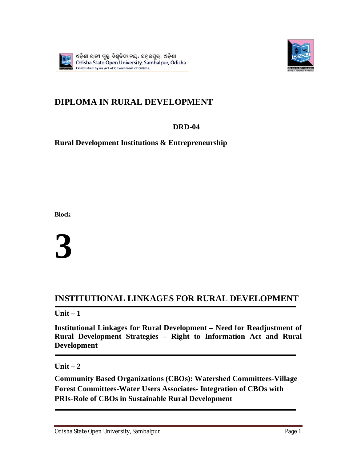



# **DIPLOMA IN RURAL DEVELOPMENT**

# **DRD-04**

# **Rural Development Institutions & Entrepreneurship**

**Block**

**3** 

# **INSTITUTIONAL LINKAGES FOR RURAL DEVELOPMENT**

**Unit – 1**

**Institutional Linkages for Rural Development – Need for Readjustment of Rural Development Strategies – Right to Information Act and Rural Development**

**Unit – 2**

**Community Based Organizations (CBOs): Watershed Committees-Village Forest Committees-Water Users Associates- Integration of CBOs with PRIs-Role of CBOs in Sustainable Rural Development**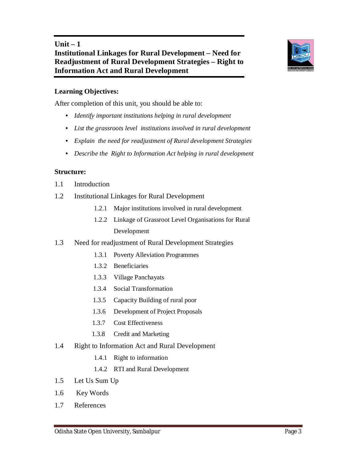

## **Learning Objectives:**

After completion of this unit, you should be able to:

- *Identify important institutions helping in rural development*
- *List the grassroots level institutions involved in rural development*
- *Explain the need for readjustment of Rural development Strategies*
- *Describe the Right to Information Act helping in rural development*

#### **Structure:**

- 1.1 Introduction
- 1.2 Institutional Linkages for Rural Development
	- 1.2.1 Major institutions involved in rural development
	- 1.2.2 Linkage of Grassroot Level Organisations for Rural Development
- 1.3 Need for readjustment of Rural Development Strategies
	- 1.3.1 Poverty Alleviation Programmes
	- 1.3.2 Beneficiaries
	- 1.3.3 Village Panchayats
	- 1.3.4 Social Transformation
	- 1.3.5 Capacity Building of rural poor
	- 1.3.6 Development of Project Proposals
	- 1.3.7 Cost Effectiveness
	- 1.3.8 Credit and Marketing
- 1.4 Right to Information Act and Rural Development
	- 1.4.1 Right to information
	- 1.4.2 RTI and Rural Development
- 1.5 Let Us Sum Up
- 1.6 Key Words
- 1.7 References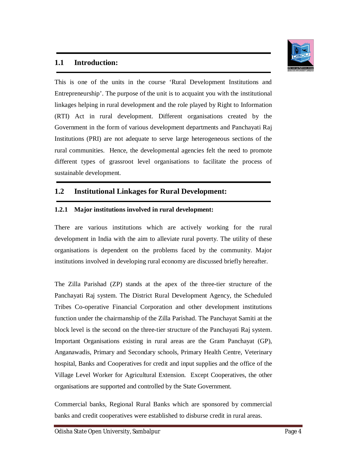

## **1.1 Introduction:**

This is one of the units in the course 'Rural Development Institutions and Entrepreneurship'. The purpose of the unit is to acquaint you with the institutional linkages helping in rural development and the role played by Right to Information (RTI) Act in rural development. Different organisations created by the Government in the form of various development departments and Panchayati Raj Institutions (PRI) are not adequate to serve large heterogeneous sections of the rural communities. Hence, the developmental agencies felt the need to promote different types of grassroot level organisations to facilitate the process of sustainable development.

## **1.2 Institutional Linkages for Rural Development:**

#### **1.2.1 Major institutions involved in rural development:**

There are various institutions which are actively working for the rural development in India with the aim to alleviate rural poverty. The utility of these organisations is dependent on the problems faced by the community. Major institutions involved in developing rural economy are discussed briefly hereafter.

The Zilla Parishad (ZP) stands at the apex of the three-tier structure of the Panchayati Raj system. The District Rural Development Agency, the Scheduled Tribes Co-operative Financial Corporation and other development institutions function under the chairmanship of the Zilla Parishad. The Panchayat Samiti at the block level is the second on the three-tier structure of the Panchayati Raj system. Important Organisations existing in rural areas are the Gram Panchayat (GP), Anganawadis, Primary and Secondary schools, Primary Health Centre, Veterinary hospital, Banks and Cooperatives for credit and input supplies and the office of the Village Level Worker for Agricultural Extension. Except Cooperatives, the other organisations are supported and controlled by the State Government.

Commercial banks, Regional Rural Banks which are sponsored by commercial banks and credit cooperatives were established to disburse credit in rural areas.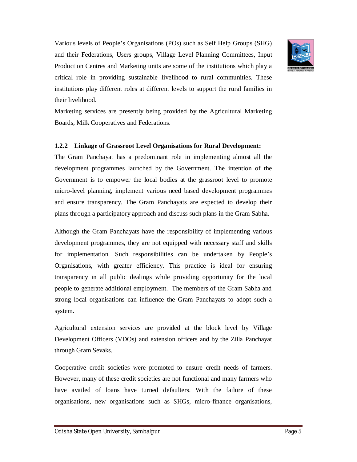Various levels of People's Organisations (POs) such as Self Help Groups (SHG) and their Federations, Users groups, Village Level Planning Committees, Input Production Centres and Marketing units are some of the institutions which play a critical role in providing sustainable livelihood to rural communities. These institutions play different roles at different levels to support the rural families in their livelihood.



#### **1.2.2 Linkage of Grassroot Level Organisations for Rural Development:**

The Gram Panchayat has a predominant role in implementing almost all the development programmes launched by the Government. The intention of the Government is to empower the local bodies at the grassroot level to promote micro-level planning, implement various need based development programmes and ensure transparency. The Gram Panchayats are expected to develop their plans through a participatory approach and discuss such plans in the Gram Sabha.

Although the Gram Panchayats have the responsibility of implementing various development programmes, they are not equipped with necessary staff and skills for implementation. Such responsibilities can be undertaken by People's Organisations, with greater efficiency. This practice is ideal for ensuring transparency in all public dealings while providing opportunity for the local people to generate additional employment. The members of the Gram Sabha and strong local organisations can influence the Gram Panchayats to adopt such a system.

Agricultural extension services are provided at the block level by Village Development Officers (VDOs) and extension officers and by the Zilla Panchayat through Gram Sevaks.

Cooperative credit societies were promoted to ensure credit needs of farmers. However, many of these credit societies are not functional and many farmers who have availed of loans have turned defaulters. With the failure of these organisations, new organisations such as SHGs, micro-finance organisations,

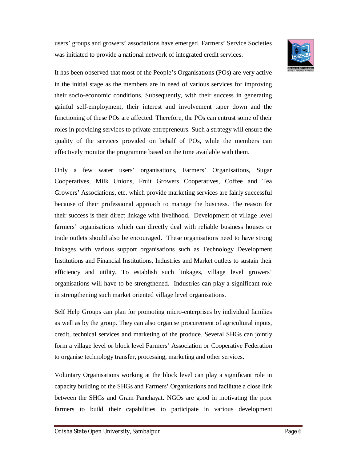users' groups and growers' associations have emerged. Farmers' Service Societies was initiated to provide a national network of integrated credit services.



It has been observed that most of the People's Organisations (POs) are very active in the initial stage as the members are in need of various services for improving their socio-economic conditions. Subsequently, with their success in generating gainful self-employment, their interest and involvement taper down and the functioning of these POs are affected. Therefore, the POs can entrust some of their roles in providing services to private entrepreneurs. Such a strategy will ensure the quality of the services provided on behalf of POs, while the members can effectively monitor the programme based on the time available with them.

Only a few water users' organisations, Farmers' Organisations, Sugar Cooperatives, Milk Unions, Fruit Growers Cooperatives, Coffee and Tea Growers' Associations, etc. which provide marketing services are fairly successful because of their professional approach to manage the business. The reason for their success is their direct linkage with livelihood. Development of village level farmers' organisations which can directly deal with reliable business houses or trade outlets should also be encouraged. These organisations need to have strong linkages with various support organisations such as Technology Development Institutions and Financial Institutions, Industries and Market outlets to sustain their efficiency and utility. To establish such linkages, village level growers' organisations will have to be strengthened. Industries can play a significant role in strengthening such market oriented village level organisations.

Self Help Groups can plan for promoting micro-enterprises by individual families as well as by the group. They can also organise procurement of agricultural inputs, credit, technical services and marketing of the produce. Several SHGs can jointly form a village level or block level Farmers' Association or Cooperative Federation to organise technology transfer, processing, marketing and other services.

Voluntary Organisations working at the block level can play a significant role in capacity building of the SHGs and Farmers' Organisations and facilitate a close link between the SHGs and Gram Panchayat. NGOs are good in motivating the poor farmers to build their capabilities to participate in various development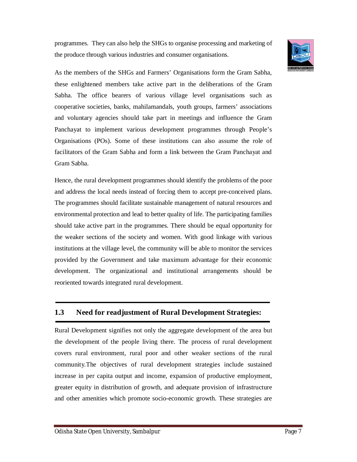programmes. They can also help the SHGs to organise processing and marketing of the produce through various industries and consumer organisations.



As the members of the SHGs and Farmers' Organisations form the Gram Sabha, these enlightened members take active part in the deliberations of the Gram Sabha. The office bearers of various village level organisations such as cooperative societies, banks, mahilamandals, youth groups, farmers' associations and voluntary agencies should take part in meetings and influence the Gram Panchayat to implement various development programmes through People's Organisations (POs). Some of these institutions can also assume the role of facilitators of the Gram Sabha and form a link between the Gram Panchayat and Gram Sabha.

Hence, the rural development programmes should identify the problems of the poor and address the local needs instead of forcing them to accept pre-conceived plans. The programmes should facilitate sustainable management of natural resources and environmental protection and lead to better quality of life. The participating families should take active part in the programmes. There should be equal opportunity for the weaker sections of the society and women. With good linkage with various institutions at the village level, the community will be able to monitor the services provided by the Government and take maximum advantage for their economic development. The organizational and institutional arrangements should be reoriented towards integrated rural development.

# **1.3 Need for readjustment of Rural Development Strategies:**

Rural Development signifies not only the aggregate development of the area but the development of the people living there. The process of rural development covers rural environment, rural poor and other weaker sections of the rural community.The objectives of rural development strategies include sustained increase in per capita output and income, expansion of productive employment, greater equity in distribution of growth, and adequate provision of infrastructure and other amenities which promote socio-economic growth. These strategies are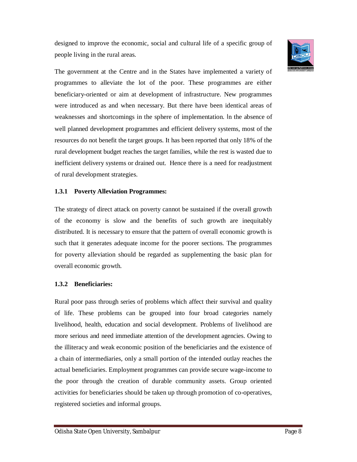designed to improve the economic, social and cultural life of a specific group of people living in the rural areas.



The government at the Centre and in the States have implemented a variety of programmes to alleviate the lot of the poor. These programmes are either beneficiary-oriented or aim at development of infrastructure. New programmes were introduced as and when necessary. But there have been identical areas of weaknesses and shortcomings in the sphere of implementation. In the absence of well planned development programmes and efficient delivery systems, most of the resources do not benefit the target groups. It has been reported that only 18% of the rural development budget reaches the target families, while the rest is wasted due to inefficient delivery systems or drained out. Hence there is a need for readjustment of rural development strategies.

#### **1.3.1 Poverty Alleviation Programmes:**

The strategy of direct attack on poverty cannot be sustained if the overall growth of the economy is slow and the benefits of such growth are inequitably distributed. It is necessary to ensure that the pattern of overall economic growth is such that it generates adequate income for the poorer sections. The programmes for poverty alleviation should be regarded as supplementing the basic plan for overall economic growth.

#### **1.3.2 Beneficiaries:**

Rural poor pass through series of problems which affect their survival and quality of life. These problems can be grouped into four broad categories namely livelihood, health, education and social development. Problems of livelihood are more serious and need immediate attention of the development agencies. Owing to the illiteracy and weak economic position of the beneficiaries and the existence of a chain of intermediaries, only a small portion of the intended outlay reaches the actual beneficiaries. Employment programmes can provide secure wage-income to the poor through the creation of durable community assets. Group oriented activities for beneficiaries should be taken up through promotion of co-operatives, registered societies and informal groups.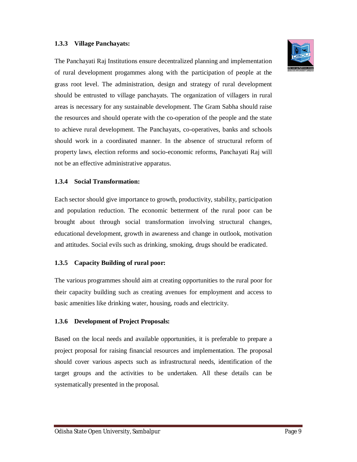#### **1.3.3 Village Panchayats:**

The Panchayati Raj Institutions ensure decentralized planning and implementation of rural development progammes along with the participation of people at the grass root level. The administration, design and strategy of rural development should be entrusted to village panchayats. The organization of villagers in rural areas is necessary for any sustainable development. The Gram Sabha should raise the resources and should operate with the co-operation of the people and the state to achieve rural development. The Panchayats, co-operatives, banks and schools should work in a coordinated manner. In the absence of structural reform of property laws, election reforms and socio-economic reforms, Panchayati Raj will not be an effective administrative apparatus.

#### **1.3.4 Social Transformation:**

Each sector should give importance to growth, productivity, stability, participation and population reduction. The economic betterment of the rural poor can be brought about through social transformation involving structural changes, educational development, growth in awareness and change in outlook, motivation and attitudes. Social evils such as drinking, smoking, drugs should be eradicated.

#### **1.3.5 Capacity Building of rural poor:**

The various programmes should aim at creating opportunities to the rural poor for their capacity building such as creating avenues for employment and access to basic amenities like drinking water, housing, roads and electricity.

#### **1.3.6 Development of Project Proposals:**

Based on the local needs and available opportunities, it is preferable to prepare a project proposal for raising financial resources and implementation. The proposal should cover various aspects such as infrastructural needs, identification of the target groups and the activities to be undertaken. All these details can be systematically presented in the proposal.

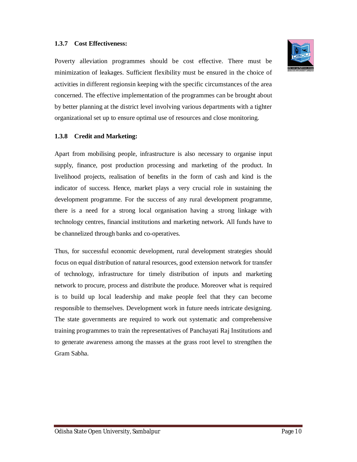#### **1.3.7 Cost Effectiveness:**



Poverty alleviation programmes should be cost effective. There must be minimization of leakages. Sufficient flexibility must be ensured in the choice of activities in different regionsin keeping with the specific circumstances of the area concerned. The effective implementation of the programmes can be brought about by better planning at the district level involving various departments with a tighter organizational set up to ensure optimal use of resources and close monitoring.

#### **1.3.8 Credit and Marketing:**

Apart from mobilising people, infrastructure is also necessary to organise input supply, finance, post production processing and marketing of the product. In livelihood projects, realisation of benefits in the form of cash and kind is the indicator of success. Hence, market plays a very crucial role in sustaining the development programme. For the success of any rural development programme, there is a need for a strong local organisation having a strong linkage with technology centres, financial institutions and marketing network. All funds have to be channelized through banks and co-operatives.

Thus, for successful economic development, rural development strategies should focus on equal distribution of natural resources, good extension network for transfer of technology, infrastructure for timely distribution of inputs and marketing network to procure, process and distribute the produce. Moreover what is required is to build up local leadership and make people feel that they can become responsible to themselves. Development work in future needs intricate designing. The state governments are required to work out systematic and comprehensive training programmes to train the representatives of Panchayati Raj Institutions and to generate awareness among the masses at the grass root level to strengthen the Gram Sabha.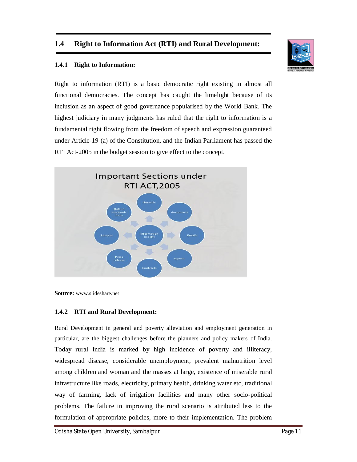## **1.4 Right to Information Act (RTI) and Rural Development:**



#### **1.4.1 Right to Information:**

Right to information (RTI) is a basic democratic right existing in almost all functional democracies. The concept has caught the limelight because of its inclusion as an aspect of good governance popularised by the World Bank. The highest judiciary in many judgments has ruled that the right to information is a fundamental right flowing from the freedom of speech and expression guaranteed under Article-19 (a) of the Constitution, and the Indian Parliament has passed the RTI Act-2005 in the budget session to give effect to the concept.



**Source:** www.slideshare.net

#### **1.4.2 RTI and Rural Development:**

Rural Development in general and poverty alleviation and employment generation in particular, are the biggest challenges before the planners and policy makers of India. Today rural India is marked by high incidence of poverty and illiteracy, widespread disease, considerable unemployment, prevalent malnutrition level among children and woman and the masses at large, existence of miserable rural infrastructure like roads, electricity, primary health, drinking water etc, traditional way of farming, lack of irrigation facilities and many other socio-political problems. The failure in improving the rural scenario is attributed less to the formulation of appropriate policies, more to their implementation. The problem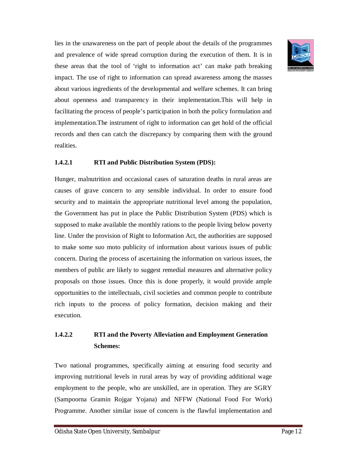

lies in the unawareness on the part of people about the details of the programmes and prevalence of wide spread corruption during the execution of them. It is in these areas that the tool of 'right to information act' can make path breaking impact. The use of right to information can spread awareness among the masses about various ingredients of the developmental and welfare schemes. It can bring about openness and transparency in their implementation.This will help in facilitating the process of people's participation in both the policy formulation and implementation.The instrument of right to information can get hold of the official records and then can catch the discrepancy by comparing them with the ground realities.

#### **1.4.2.1 RTI and Public Distribution System (PDS):**

Hunger, malnutrition and occasional cases of saturation deaths in rural areas are causes of grave concern to any sensible individual. In order to ensure food security and to maintain the appropriate nutritional level among the population, the Government has put in place the Public Distribution System (PDS) which is supposed to make available the monthly rations to the people living below poverty line. Under the provision of Right to Information Act, the authorities are supposed to make some suo moto publicity of information about various issues of public concern. During the process of ascertaining the information on various issues, the members of public are likely to suggest remedial measures and alternative policy proposals on those issues. Once this is done properly, it would provide ample opportunities to the intellectuals, civil societies and common people to contribute rich inputs to the process of policy formation, decision making and their execution.

# **1.4.2.2 RTI and the Poverty Alleviation and Employment Generation Schemes:**

Two national programmes, specifically aiming at ensuring food security and improving nutritional levels in rural areas by way of providing additional wage employment to the people, who are unskilled, are in operation. They are SGRY (Sampoorna Gramin Rojgar Yojana) and NFFW (National Food For Work) Programme. Another similar issue of concern is the flawful implementation and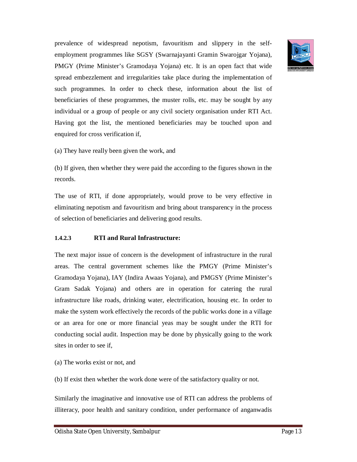prevalence of widespread nepotism, favouritism and slippery in the selfemployment programmes like SGSY (Swarnajayanti Gramin Swarojgar Yojana), PMGY (Prime Minister's Gramodaya Yojana) etc. It is an open fact that wide spread embezzlement and irregularities take place during the implementation of such programmes. In order to check these, information about the list of beneficiaries of these programmes, the muster rolls, etc. may be sought by any individual or a group of people or any civil society organisation under RTI Act. Having got the list, the mentioned beneficiaries may be touched upon and enquired for cross verification if,

(a) They have really been given the work, and

(b) If given, then whether they were paid the according to the figures shown in the records.

The use of RTI, if done appropriately, would prove to be very effective in eliminating nepotism and favouritism and bring about transparency in the process of selection of beneficiaries and delivering good results.

#### **1.4.2.3 RTI and Rural Infrastructure:**

The next major issue of concern is the development of infrastructure in the rural areas. The central government schemes like the PMGY (Prime Minister's Gramodaya Yojana), IAY (Indira Awaas Yojana), and PMGSY (Prime Minister's Gram Sadak Yojana) and others are in operation for catering the rural infrastructure like roads, drinking water, electrification, housing etc. In order to make the system work effectively the records of the public works done in a village or an area for one or more financial yeas may be sought under the RTI for conducting social audit. Inspection may be done by physically going to the work sites in order to see if,

(a) The works exist or not, and

(b) If exist then whether the work done were of the satisfactory quality or not.

Similarly the imaginative and innovative use of RTI can address the problems of illiteracy, poor health and sanitary condition, under performance of anganwadis

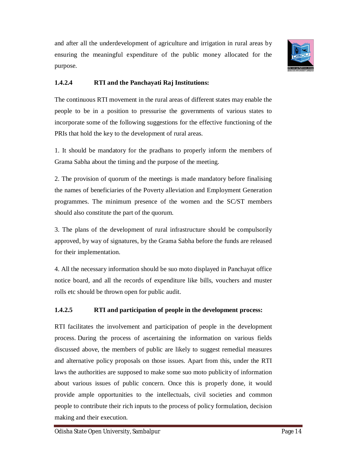

and after all the underdevelopment of agriculture and irrigation in rural areas by ensuring the meaningful expenditure of the public money allocated for the purpose.

## **1.4.2.4 RTI and the Panchayati Raj Institutions:**

The continuous RTI movement in the rural areas of different states may enable the people to be in a position to pressurise the governments of various states to incorporate some of the following suggestions for the effective functioning of the PRIs that hold the key to the development of rural areas.

1. It should be mandatory for the pradhans to properly inform the members of Grama Sabha about the timing and the purpose of the meeting.

2. The provision of quorum of the meetings is made mandatory before finalising the names of beneficiaries of the Poverty alleviation and Employment Generation programmes. The minimum presence of the women and the SC/ST members should also constitute the part of the quorum.

3. The plans of the development of rural infrastructure should be compulsorily approved, by way of signatures, by the Grama Sabha before the funds are released for their implementation.

4. All the necessary information should be suo moto displayed in Panchayat office notice board, and all the records of expenditure like bills, vouchers and muster rolls etc should be thrown open for public audit.

## **1.4.2.5 RTI and participation of people in the development process:**

RTI facilitates the involvement and participation of people in the development process. During the process of ascertaining the information on various fields discussed above, the members of public are likely to suggest remedial measures and alternative policy proposals on those issues. Apart from this, under the RTI laws the authorities are supposed to make some suo moto publicity of information about various issues of public concern. Once this is properly done, it would provide ample opportunities to the intellectuals, civil societies and common people to contribute their rich inputs to the process of policy formulation, decision making and their execution.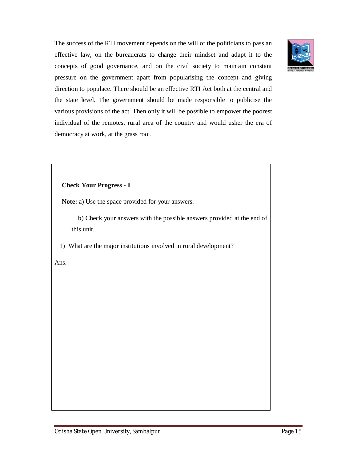

The success of the RTI movement depends on the will of the politicians to pass an effective law, on the bureaucrats to change their mindset and adapt it to the concepts of good governance, and on the civil society to maintain constant pressure on the government apart from popularising the concept and giving direction to populace. There should be an effective RTI Act both at the central and the state level. The government should be made responsible to publicise the various provisions of the act. Then only it will be possible to empower the poorest individual of the remotest rural area of the country and would usher the era of democracy at work, at the grass root.

#### **Check Your Progress - I**

**Note:** a) Use the space provided for your answers.

 b) Check your answers with the possible answers provided at the end of this unit.

1) What are the major institutions involved in rural development?

Ans.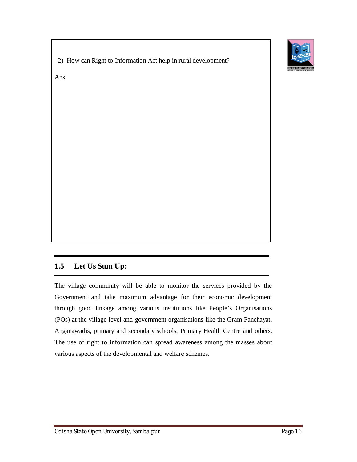

2) How can Right to Information Act help in rural development?

Ans.

# **1.5 Let Us Sum Up:**

The village community will be able to monitor the services provided by the Government and take maximum advantage for their economic development through good linkage among various institutions like People's Organisations (POs) at the village level and government organisations like the Gram Panchayat, Anganawadis, primary and secondary schools, Primary Health Centre and others. The use of right to information can spread awareness among the masses about various aspects of the developmental and welfare schemes.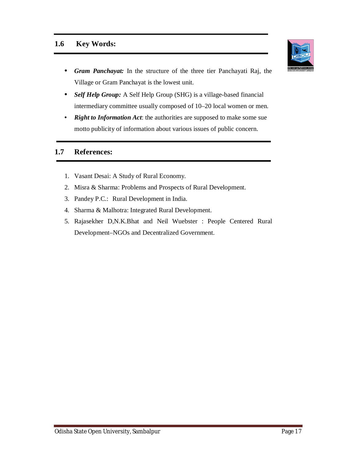## **1.6 Key Words:**



- *Self Help Group:* A Self Help Group (SHG) is a village-based financial intermediary committee usually composed of 10–20 local women or men.
- *Right to Information Act*: the authorities are supposed to make some sue motto publicity of information about various issues of public concern.

## **1.7 References:**

- 1. Vasant Desai: A Study of Rural Economy.
- 2. Misra & Sharma: Problems and Prospects of Rural Development.
- 3. Pandey P.C.: Rural Development in India.
- 4. Sharma & Malhotra: Integrated Rural Development.
- 5. Rajasekher D,N.K.Bhat and Neil Wuebster : People Centered Rural Development–NGOs and Decentralized Government.

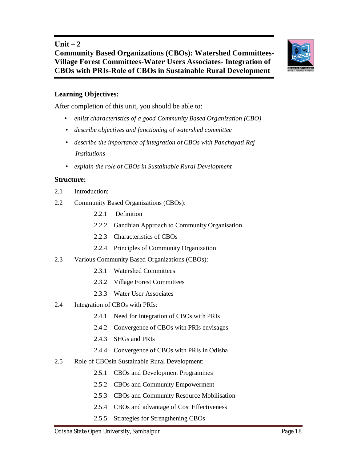## **Unit – 2**

# **Community Based Organizations (CBOs): Watershed Committees-Village Forest Committees-Water Users Associates- Integration of CBOs with PRIs-Role of CBOs in Sustainable Rural Development**

## **Learning Objectives:**

After completion of this unit, you should be able to:

- *enlist characteristics of a good Community Based Organization (CBO)*
- *describe objectives and functioning of watershed committee*
- *describe the importance of integration of CBOs with Panchayati Raj Institutions*
- *explain the role of CBOs in Sustainable Rural Development*

#### **Structure:**

- 2.1 Introduction:
- 2.2 Community Based Organizations (CBOs):
	- 2.2.1 Definition
	- 2.2.2 Gandhian Approach to Community Organisation
	- 2.2.3 Characteristics of CBOs
	- 2.2.4 Principles of Community Organization
- 2.3 Various Community Based Organizations (CBOs):
	- 2.3.1 Watershed Committees
	- 2.3.2 Village Forest Committees
	- 2.3.3 Water User Associates
- 2.4 Integration of CBOs with PRIs:
	- 2.4.1 Need for Integration of CBOs with PRIs
	- 2.4.2 Convergence of CBOs with PRIs envisages
	- 2.4.3 SHGs and PRIs
	- 2.4.4 Convergence of CBOs with PRIs in Odisha
- 2.5 Role of CBOsin Sustainable Rural Development:
	- 2.5.1 CBOs and Development Programmes
	- 2.5.2 CBOs and Community Empowerment
	- 2.5.3 CBOs and Community Resource Mobilisation
	- 2.5.4 CBOs and advantage of Cost Effectiveness
	- 2.5.5 Strategies for Strengthening CBOs

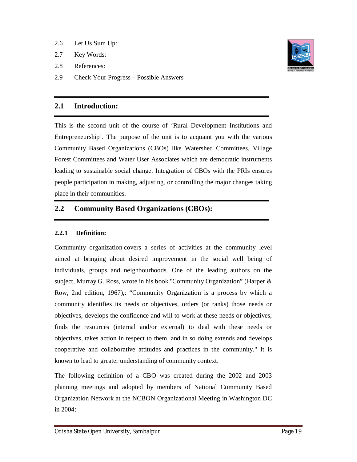- 2.6 Let Us Sum Up:
- 2.7 Key Words:
- 2.8 References:
- 2.9 Check Your Progress Possible Answers

## **2.1 Introduction:**

This is the second unit of the course of 'Rural Development Institutions and Entrepreneurship'. The purpose of the unit is to acquaint you with the various Community Based Organizations (CBOs) like Watershed Committees, Village Forest Committees and Water User Associates which are democratic instruments leading to sustainable social change. Integration of CBOs with the PRIs ensures people participation in making, adjusting, or controlling the major changes taking place in their communities.

# **2.2 Community Based Organizations (CBOs):**

## **2.2.1 Definition:**

Community organization covers a series of activities at the community level aimed at bringing about desired improvement in the social well being of individuals, groups and neighbourhoods. One of the leading authors on the subject, Murray G. Ross, wrote in his book "Community Organization" (Harper & Row, 2nd edition, 1967),: "Community Organization is a process by which a community identifies its needs or objectives, orders (or ranks) those needs or objectives, develops the confidence and will to work at these needs or objectives, finds the resources (internal and/or external) to deal with these needs or objectives, takes action in respect to them, and in so doing extends and develops cooperative and collaborative attitudes and practices in the community." It is known to lead to greater understanding of community context.

The following definition of a CBO was created during the 2002 and 2003 planning meetings and adopted by members of National Community Based Organization Network at the NCBON Organizational Meeting in Washington DC in 2004:-

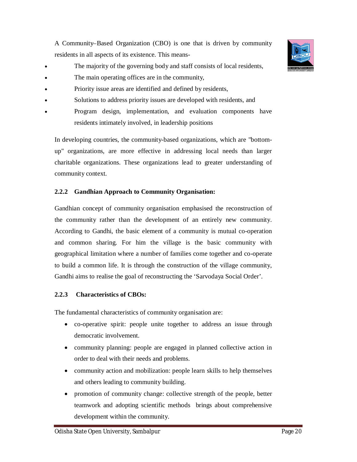A Community–Based Organization (CBO) is one that is driven by community residents in all aspects of its existence. This means-

- The majority of the governing body and staff consists of local residents,
- The main operating offices are in the community,
- Priority issue areas are identified and defined by residents,
- Solutions to address priority issues are developed with residents, and
- Program design, implementation, and evaluation components have residents intimately involved, in leadership positions

In developing countries, the community-based organizations, which are "bottomup" organizations, are more effective in addressing local needs than larger charitable organizations. These organizations lead to greater understanding of community context.

#### **2.2.2 Gandhian Approach to Community Organisation:**

Gandhian concept of community organisation emphasised the reconstruction of the community rather than the development of an entirely new community. According to Gandhi, the basic element of a community is mutual co-operation and common sharing. For him the village is the basic community with geographical limitation where a number of families come together and co-operate to build a common life. It is through the construction of the village community, Gandhi aims to realise the goal of reconstructing the 'Sarvodaya Social Order'.

#### **2.2.3 Characteristics of CBOs:**

The fundamental characteristics of community organisation are:

- co-operative spirit: people unite together to address an issue through democratic involvement.
- community planning: people are engaged in planned collective action in order to deal with their needs and problems.
- community action and mobilization: people learn skills to help themselves and others leading to community building.
- promotion of community change: collective strength of the people, better teamwork and adopting scientific methods brings about comprehensive development within the community.

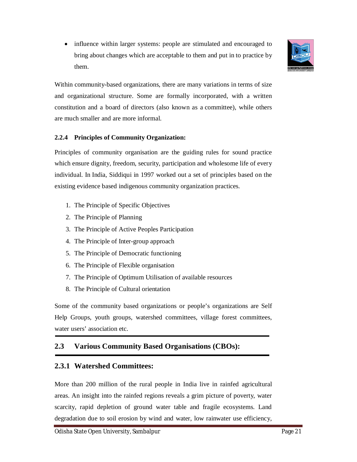• influence within larger systems: people are stimulated and encouraged to bring about changes which are acceptable to them and put in to practice by them.



Within community-based organizations, there are many variations in terms of size and organizational structure. Some are formally incorporated, with a written constitution and a board of directors (also known as a committee), while others are much smaller and are more informal.

#### **2.2.4 Principles of Community Organization:**

Principles of community organisation are the guiding rules for sound practice which ensure dignity, freedom, security, participation and wholesome life of every individual. In India, Siddiqui in 1997 worked out a set of principles based on the existing evidence based indigenous community organization practices.

- 1. The Principle of Specific Objectives
- 2. The Principle of Planning
- 3. The Principle of Active Peoples Participation
- 4. The Principle of Inter-group approach
- 5. The Principle of Democratic functioning
- 6. The Principle of Flexible organisation
- 7. The Principle of Optimum Utilisation of available resources
- 8. The Principle of Cultural orientation

Some of the community based organizations or people's organizations are Self Help Groups, youth groups, watershed committees, village forest committees, water users' association etc.

# **2.3 Various Community Based Organisations (CBOs):**

## **2.3.1 Watershed Committees:**

More than 200 million of the rural people in India live in rainfed agricultural areas. An insight into the rainfed regions reveals a grim picture of poverty, water scarcity, rapid depletion of ground water table and fragile ecosystems. Land degradation due to soil erosion by wind and water, low rainwater use efficiency,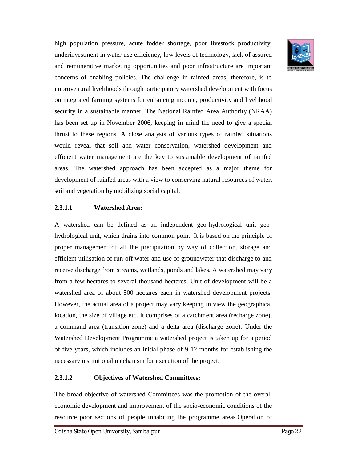high population pressure, acute fodder shortage, poor livestock productivity, underinvestment in water use efficiency, low levels of technology, lack of assured and remunerative marketing opportunities and poor infrastructure are important concerns of enabling policies. The challenge in rainfed areas, therefore, is to improve rural livelihoods through participatory watershed development with focus on integrated farming systems for enhancing income, productivity and livelihood security in a sustainable manner. The National Rainfed Area Authority (NRAA) has been set up in November 2006, keeping in mind the need to give a special thrust to these regions. A close analysis of various types of rainfed situations would reveal that soil and water conservation, watershed development and efficient water management are the key to sustainable development of rainfed areas. The watershed approach has been accepted as a major theme for development of rainfed areas with a view to conserving natural resources of water, soil and vegetation by mobilizing social capital.

#### **2.3.1.1 Watershed Area:**

A watershed can be defined as an independent geo-hydrological unit geohydrological unit, which drains into common point. It is based on the principle of proper management of all the precipitation by way of collection, storage and efficient utilisation of run-off water and use of groundwater that discharge to and receive discharge from streams, wetlands, ponds and lakes. A watershed may vary from a few hectares to several thousand hectares. Unit of development will be a watershed area of about 500 hectares each in watershed development projects. However, the actual area of a project may vary keeping in view the geographical location, the size of village etc. It comprises of a catchment area (recharge zone), a command area (transition zone) and a delta area (discharge zone). Under the Watershed Development Programme a watershed project is taken up for a period of five years, which includes an initial phase of 9-12 months for establishing the necessary institutional mechanism for execution of the project.

#### **2.3.1.2 Objectives of Watershed Committees:**

The broad objective of watershed Committees was the promotion of the overall economic development and improvement of the socio-economic conditions of the resource poor sections of people inhabiting the programme areas.Operation of

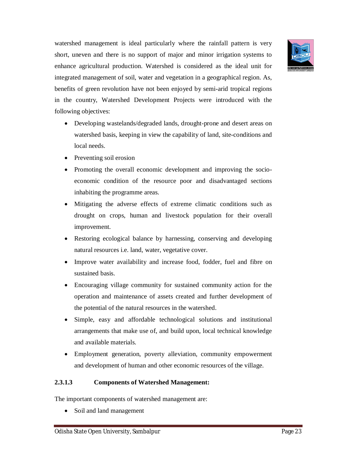

watershed management is ideal particularly where the rainfall pattern is very short, uneven and there is no support of major and minor irrigation systems to enhance agricultural production. Watershed is considered as the ideal unit for integrated management of soil, water and vegetation in a geographical region. As, benefits of green revolution have not been enjoyed by semi-arid tropical regions in the country, Watershed Development Projects were introduced with the following objectives:

- Developing wastelands/degraded lands, drought-prone and desert areas on watershed basis, keeping in view the capability of land, site-conditions and local needs.
- Preventing soil erosion
- Promoting the overall economic development and improving the socioeconomic condition of the resource poor and disadvantaged sections inhabiting the programme areas.
- Mitigating the adverse effects of extreme climatic conditions such as drought on crops, human and livestock population for their overall improvement.
- Restoring ecological balance by harnessing, conserving and developing natural resources i.e. land, water, vegetative cover.
- Improve water availability and increase food, fodder, fuel and fibre on sustained basis.
- Encouraging village community for sustained community action for the operation and maintenance of assets created and further development of the potential of the natural resources in the watershed.
- Simple, easy and affordable technological solutions and institutional arrangements that make use of, and build upon, local technical knowledge and available materials.
- Employment generation, poverty alleviation, community empowerment and development of human and other economic resources of the village.

## **2.3.1.3 Components of Watershed Management:**

The important components of watershed management are:

• Soil and land management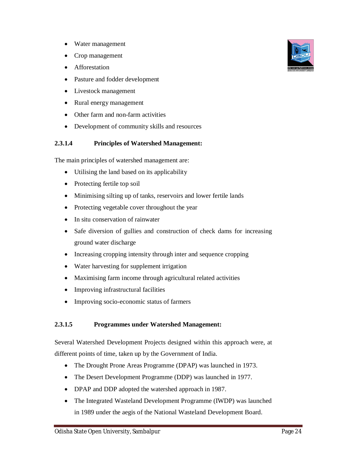- Water management
- Crop management
- **•** Afforestation
- Pasture and fodder development
- Livestock management
- Rural energy management
- Other farm and non-farm activities
- Development of community skills and resources

#### **2.3.1.4 Principles of Watershed Management:**

The main principles of watershed management are:

- Utilising the land based on its applicability
- Protecting fertile top soil
- Minimising silting up of tanks, reservoirs and lower fertile lands
- Protecting vegetable cover throughout the year
- In situ conservation of rainwater
- Safe diversion of gullies and construction of check dams for increasing ground water discharge
- Increasing cropping intensity through inter and sequence cropping
- Water harvesting for supplement irrigation
- Maximising farm income through agricultural related activities
- Improving infrastructural facilities
- Improving socio-economic status of farmers

#### **2.3.1.5 Programmes under Watershed Management:**

Several Watershed Development Projects designed within this approach were, at different points of time, taken up by the Government of India.

- The Drought Prone Areas Programme (DPAP) was launched in 1973.
- The Desert Development Programme (DDP) was launched in 1977.
- DPAP and DDP adopted the watershed approach in 1987.
- The Integrated Wasteland Development Programme (IWDP) was launched in 1989 under the aegis of the National Wasteland Development Board.

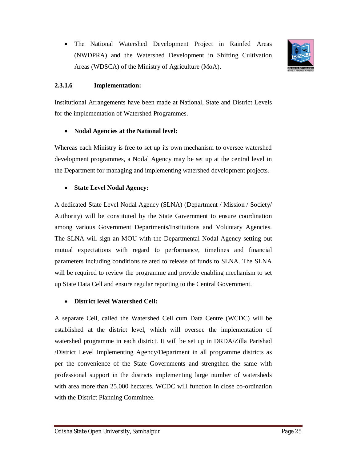

#### **2.3.1.6 Implementation:**

Institutional Arrangements have been made at National, State and District Levels for the implementation of Watershed Programmes.

#### **Nodal Agencies at the National level:**

Whereas each Ministry is free to set up its own mechanism to oversee watershed development programmes, a Nodal Agency may be set up at the central level in the Department for managing and implementing watershed development projects.

#### **State Level Nodal Agency:**

A dedicated State Level Nodal Agency (SLNA) (Department / Mission / Society/ Authority) will be constituted by the State Government to ensure coordination among various Government Departments/Institutions and Voluntary Agencies. The SLNA will sign an MOU with the Departmental Nodal Agency setting out mutual expectations with regard to performance, timelines and financial parameters including conditions related to release of funds to SLNA. The SLNA will be required to review the programme and provide enabling mechanism to set up State Data Cell and ensure regular reporting to the Central Government.

#### **District level Watershed Cell:**

A separate Cell, called the Watershed Cell cum Data Centre (WCDC) will be established at the district level, which will oversee the implementation of watershed programme in each district. It will be set up in DRDA/Zilla Parishad /District Level Implementing Agency/Department in all programme districts as per the convenience of the State Governments and strengthen the same with professional support in the districts implementing large number of watersheds with area more than 25,000 hectares. WCDC will function in close co-ordination with the District Planning Committee.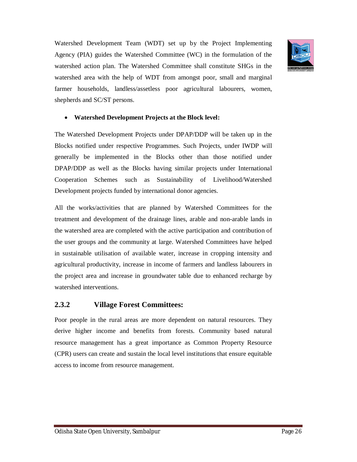Watershed Development Team (WDT) set up by the Project Implementing Agency (PIA) guides the Watershed Committee (WC) in the formulation of the watershed action plan. The Watershed Committee shall constitute SHGs in the watershed area with the help of WDT from amongst poor, small and marginal farmer households, landless/assetless poor agricultural labourers, women, shepherds and SC/ST persons.



#### **Watershed Development Projects at the Block level:**

The Watershed Development Projects under DPAP/DDP will be taken up in the Blocks notified under respective Programmes. Such Projects, under IWDP will generally be implemented in the Blocks other than those notified under DPAP/DDP as well as the Blocks having similar projects under International Cooperation Schemes such as Sustainability of Livelihood/Watershed Development projects funded by international donor agencies.

All the works/activities that are planned by Watershed Committees for the treatment and development of the drainage lines, arable and non-arable lands in the watershed area are completed with the active participation and contribution of the user groups and the community at large. Watershed Committees have helped in sustainable utilisation of available water, increase in cropping intensity and agricultural productivity, increase in income of farmers and landless labourers in the project area and increase in groundwater table due to enhanced recharge by watershed interventions.

#### **2.3.2 Village Forest Committees:**

Poor people in the rural areas are more dependent on natural resources. They derive higher income and benefits from forests. Community based natural resource management has a great importance as Common Property Resource (CPR) users can create and sustain the local level institutions that ensure equitable access to income from resource management.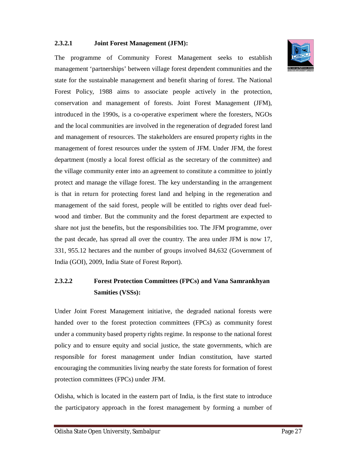#### **2.3.2.1 Joint Forest Management (JFM):**

The programme of Community Forest Management seeks to establish management 'partnerships' between village forest dependent communities and the state for the sustainable management and benefit sharing of forest. The National Forest Policy, 1988 aims to associate people actively in the protection, conservation and management of forests. Joint Forest Management (JFM), introduced in the 1990s, is a co-operative experiment where the foresters, NGOs and the local communities are involved in the regeneration of degraded forest land and management of resources. The stakeholders are ensured property rights in the management of forest resources under the system of JFM. Under JFM, the forest department (mostly a local forest official as the secretary of the committee) and the village community enter into an agreement to constitute a committee to jointly protect and manage the village forest. The key understanding in the arrangement is that in return for protecting forest land and helping in the regeneration and management of the said forest, people will be entitled to rights over dead fuelwood and timber. But the community and the forest department are expected to share not just the benefits, but the responsibilities too. The JFM programme, over the past decade, has spread all over the country. The area under JFM is now 17, 331, 955.12 hectares and the number of groups involved 84,632 (Government of India (GOI), 2009, India State of Forest Report).

# **2.3.2.2 Forest Protection Committees (FPCs) and Vana Samrankhyan Samities (VSSs):**

Under Joint Forest Management initiative, the degraded national forests were handed over to the forest protection committees (FPCs) as community forest under a community based property rights regime. In response to the national forest policy and to ensure equity and social justice, the state governments, which are responsible for forest management under Indian constitution, have started encouraging the communities living nearby the state forests for formation of forest protection committees (FPCs) under JFM.

Odisha, which is located in the eastern part of India, is the first state to introduce the participatory approach in the forest management by forming a number of

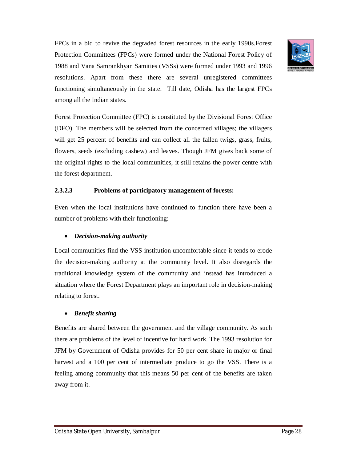FPCs in a bid to revive the degraded forest resources in the early 1990s.Forest Protection Committees (FPCs) were formed under the National Forest Policy of 1988 and Vana Samrankhyan Samities (VSSs) were formed under 1993 and 1996 resolutions. Apart from these there are several unregistered committees functioning simultaneously in the state. Till date, Odisha has the largest FPCs among all the Indian states.

Forest Protection Committee (FPC) is constituted by the Divisional Forest Office (DFO). The members will be selected from the concerned villages; the villagers will get 25 percent of benefits and can collect all the fallen twigs, grass, fruits, flowers, seeds (excluding cashew) and leaves. Though JFM gives back some of the original rights to the local communities, it still retains the power centre with the forest department.

#### **2.3.2.3 Problems of participatory management of forests:**

Even when the local institutions have continued to function there have been a number of problems with their functioning:

## *Decision-making authority*

Local communities find the VSS institution uncomfortable since it tends to erode the decision-making authority at the community level. It also disregards the traditional knowledge system of the community and instead has introduced a situation where the Forest Department plays an important role in decision-making relating to forest.

## *Benefit sharing*

Benefits are shared between the government and the village community. As such there are problems of the level of incentive for hard work. The 1993 resolution for JFM by Government of Odisha provides for 50 per cent share in major or final harvest and a 100 per cent of intermediate produce to go the VSS. There is a feeling among community that this means 50 per cent of the benefits are taken away from it.

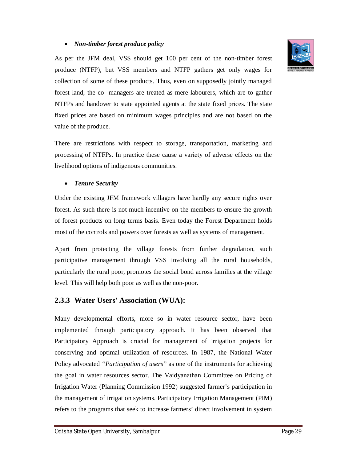#### *Non-timber forest produce policy*

As per the JFM deal, VSS should get 100 per cent of the non-timber forest produce (NTFP), but VSS members and NTFP gathers get only wages for collection of some of these products. Thus, even on supposedly jointly managed forest land, the co- managers are treated as mere labourers, which are to gather NTFPs and handover to state appointed agents at the state fixed prices. The state fixed prices are based on minimum wages principles and are not based on the value of the produce.

There are restrictions with respect to storage, transportation, marketing and processing of NTFPs. In practice these cause a variety of adverse effects on the livelihood options of indigenous communities.

#### *Tenure Security*

Under the existing JFM framework villagers have hardly any secure rights over forest. As such there is not much incentive on the members to ensure the growth of forest products on long terms basis. Even today the Forest Department holds most of the controls and powers over forests as well as systems of management.

Apart from protecting the village forests from further degradation, such participative management through VSS involving all the rural households, particularly the rural poor, promotes the social bond across families at the village level. This will help both poor as well as the non-poor.

## **2.3.3 Water Users' Association (WUA):**

Many developmental efforts, more so in water resource sector, have been implemented through participatory approach. It has been observed that Participatory Approach is crucial for management of irrigation projects for conserving and optimal utilization of resources. In 1987, the National Water Policy advocated *"Participation of users"* as one of the instruments for achieving the goal in water resources sector. The Vaidyanathan Committee on Pricing of Irrigation Water (Planning Commission 1992) suggested farmer's participation in the management of irrigation systems. Participatory Irrigation Management (PIM) refers to the programs that seek to increase farmers' direct involvement in system

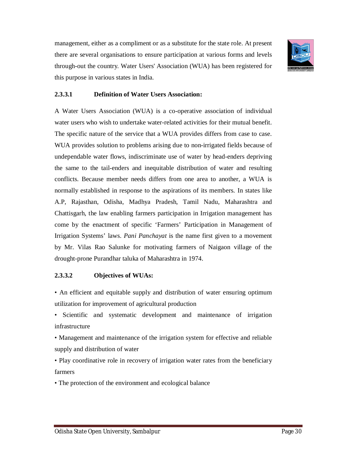management, either as a compliment or as a substitute for the state role. At present there are several organisations to ensure participation at various forms and levels through-out the country. Water Users' Association (WUA) has been registered for this purpose in various states in India.



#### **2.3.3.1 Definition of Water Users Association:**

A Water Users Association (WUA) is a co-operative association of individual water users who wish to undertake water-related activities for their mutual benefit. The specific nature of the service that a WUA provides differs from case to case. WUA provides solution to problems arising due to non-irrigated fields because of undependable water flows, indiscriminate use of water by head-enders depriving the same to the tail-enders and inequitable distribution of water and resulting conflicts. Because member needs differs from one area to another, a WUA is normally established in response to the aspirations of its members. In states like A.P, Rajasthan, Odisha, Madhya Pradesh, Tamil Nadu, Maharashtra and Chattisgarh, the law enabling farmers participation in Irrigation management has come by the enactment of specific 'Farmers' Participation in Management of Irrigation Systems' laws. *Pani Panchayat* is the name first given to a movement by Mr. Vilas Rao Salunke for motivating farmers of Naigaon village of the drought-prone Purandhar taluka of Maharashtra in 1974.

#### **2.3.3.2 Objectives of WUAs:**

- An efficient and equitable supply and distribution of water ensuring optimum utilization for improvement of agricultural production
- Scientific and systematic development and maintenance of irrigation infrastructure
- Management and maintenance of the irrigation system for effective and reliable supply and distribution of water
- Play coordinative role in recovery of irrigation water rates from the beneficiary farmers

• The protection of the environment and ecological balance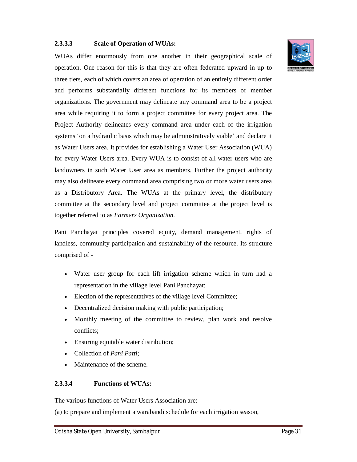#### **2.3.3.3 Scale of Operation of WUAs:**

WUAs differ enormously from one another in their geographical scale of operation. One reason for this is that they are often federated upward in up to three tiers, each of which covers an area of operation of an entirely different order and performs substantially different functions for its members or member organizations. The government may delineate any command area to be a project area while requiring it to form a project committee for every project area. The Project Authority delineates every command area under each of the irrigation systems 'on a hydraulic basis which may be administratively viable' and declare it as Water Users area. It provides for establishing a Water User Association (WUA) for every Water Users area. Every WUA is to consist of all water users who are landowners in such Water User area as members. Further the project authority may also delineate every command area comprising two or more water users area as a Distributory Area. The WUAs at the primary level, the distributory committee at the secondary level and project committee at the project level is together referred to as *Farmers Organization.*

Pani Panchayat principles covered equity, demand management, rights of landless, community participation and sustainability of the resource. Its structure comprised of -

- Water user group for each lift irrigation scheme which in turn had a representation in the village level Pani Panchayat;
- Election of the representatives of the village level Committee;
- Decentralized decision making with public participation;
- Monthly meeting of the committee to review, plan work and resolve conflicts;
- Ensuring equitable water distribution;
- Collection of *Pani Patti;*
- Maintenance of the scheme.

#### **2.3.3.4 Functions of WUAs:**

The various functions of Water Users Association are:

(a) to prepare and implement a warabandi schedule for each irrigation season,

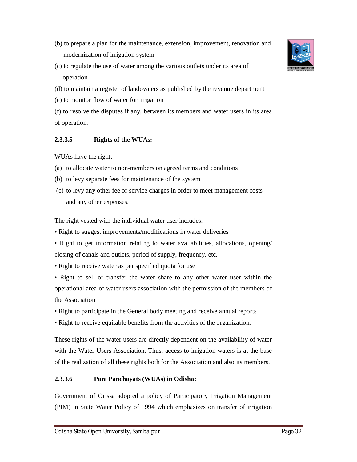- (b) to prepare a plan for the maintenance, extension, improvement, renovation and modernization of irrigation system
- (c) to regulate the use of water among the various outlets under its area of operation
- (d) to maintain a register of landowners as published by the revenue department
- (e) to monitor flow of water for irrigation
- (f) to resolve the disputes if any, between its members and water users in its area of operation.

#### **2.3.3.5 Rights of the WUAs:**

WUAs have the right:

- (a) to allocate water to non-members on agreed terms and conditions
- (b) to levy separate fees for maintenance of the system
- (c) to levy any other fee or service charges in order to meet management costs and any other expenses.

The right vested with the individual water user includes:

- Right to suggest improvements/modifications in water deliveries
- Right to get information relating to water availabilities, allocations, opening/ closing of canals and outlets, period of supply, frequency, etc.
- Right to receive water as per specified quota for use
- Right to sell or transfer the water share to any other water user within the operational area of water users association with the permission of the members of the Association
- Right to participate in the General body meeting and receive annual reports
- Right to receive equitable benefits from the activities of the organization.

These rights of the water users are directly dependent on the availability of water with the Water Users Association. Thus, access to irrigation waters is at the base of the realization of all these rights both for the Association and also its members.

## **2.3.3.6 Pani Panchayats (WUAs) in Odisha:**

Government of Orissa adopted a policy of Participatory Irrigation Management (PIM) in State Water Policy of 1994 which emphasizes on transfer of irrigation

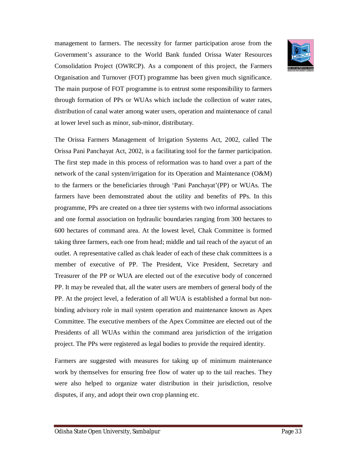management to farmers. The necessity for farmer participation arose from the Government's assurance to the World Bank funded Orissa Water Resources Consolidation Project (OWRCP). As a component of this project, the Farmers Organisation and Turnover (FOT) programme has been given much significance. The main purpose of FOT programme is to entrust some responsibility to farmers through formation of PPs or WUAs which include the collection of water rates, distribution of canal water among water users, operation and maintenance of canal at lower level such as minor, sub-minor, distributary.

The Orissa Farmers Management of Irrigation Systems Act, 2002, called The Orissa Pani Panchayat Act, 2002, is a facilitating tool for the farmer participation. The first step made in this process of reformation was to hand over a part of the network of the canal system/irrigation for its Operation and Maintenance (O&M) to the farmers or the beneficiaries through 'Pani Panchayat'(PP) or WUAs. The farmers have been demonstrated about the utility and benefits of PPs. In this programme, PPs are created on a three tier systems with two informal associations and one formal association on hydraulic boundaries ranging from 300 hectares to 600 hectares of command area. At the lowest level, Chak Committee is formed taking three farmers, each one from head; middle and tail reach of the ayacut of an outlet. A representative called as chak leader of each of these chak committees is a member of executive of PP. The President, Vice President, Secretary and Treasurer of the PP or WUA are elected out of the executive body of concerned PP. It may be revealed that, all the water users are members of general body of the PP. At the project level, a federation of all WUA is established a formal but nonbinding advisory role in mail system operation and maintenance known as Apex Committee. The executive members of the Apex Committee are elected out of the Presidents of all WUAs within the command area jurisdiction of the irrigation project. The PPs were registered as legal bodies to provide the required identity.

Farmers are suggested with measures for taking up of minimum maintenance work by themselves for ensuring free flow of water up to the tail reaches. They were also helped to organize water distribution in their jurisdiction, resolve disputes, if any, and adopt their own crop planning etc.

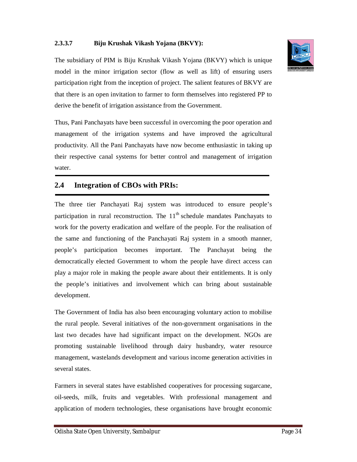#### **2.3.3.7 Biju Krushak Vikash Yojana (BKVY):**



Thus, Pani Panchayats have been successful in overcoming the poor operation and management of the irrigation systems and have improved the agricultural productivity. All the Pani Panchayats have now become enthusiastic in taking up their respective canal systems for better control and management of irrigation water.

## **2.4 Integration of CBOs with PRIs:**

The three tier Panchayati Raj system was introduced to ensure people's participation in rural reconstruction. The  $11<sup>th</sup>$  schedule mandates Panchayats to work for the poverty eradication and welfare of the people. For the realisation of the same and functioning of the Panchayati Raj system in a smooth manner, people's participation becomes important. The Panchayat being the democratically elected Government to whom the people have direct access can play a major role in making the people aware about their entitlements. It is only the people's initiatives and involvement which can bring about sustainable development.

The Government of India has also been encouraging voluntary action to mobilise the rural people. Several initiatives of the non-government organisations in the last two decades have had significant impact on the development. NGOs are promoting sustainable livelihood through dairy husbandry, water resource management, wastelands development and various income generation activities in several states.

Farmers in several states have established cooperatives for processing sugarcane, oil-seeds, milk, fruits and vegetables. With professional management and application of modern technologies, these organisations have brought economic

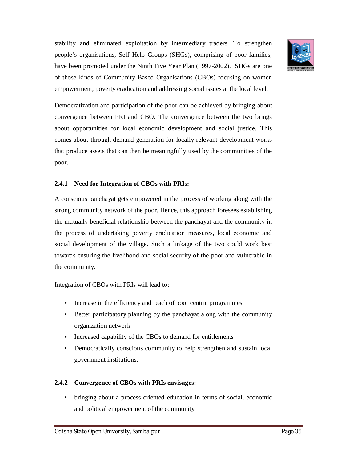stability and eliminated exploitation by intermediary traders. To strengthen people's organisations, Self Help Groups (SHGs), comprising of poor families, have been promoted under the Ninth Five Year Plan (1997-2002). SHGs are one of those kinds of Community Based Organisations (CBOs) focusing on women empowerment, poverty eradication and addressing social issues at the local level.



Democratization and participation of the poor can be achieved by bringing about convergence between PRI and CBO. The convergence between the two brings about opportunities for local economic development and social justice. This comes about through demand generation for locally relevant development works that produce assets that can then be meaningfully used by the communities of the poor.

#### **2.4.1 Need for Integration of CBOs with PRIs:**

A conscious panchayat gets empowered in the process of working along with the strong community network of the poor. Hence, this approach foresees establishing the mutually beneficial relationship between the panchayat and the community in the process of undertaking poverty eradication measures, local economic and social development of the village. Such a linkage of the two could work best towards ensuring the livelihood and social security of the poor and vulnerable in the community.

Integration of CBOs with PRIs will lead to:

- Increase in the efficiency and reach of poor centric programmes
- Better participatory planning by the panchayat along with the community organization network
- Increased capability of the CBOs to demand for entitlements
- Democratically conscious community to help strengthen and sustain local government institutions.

## **2.4.2 Convergence of CBOs with PRIs envisages:**

• bringing about a process oriented education in terms of social, economic and political empowerment of the community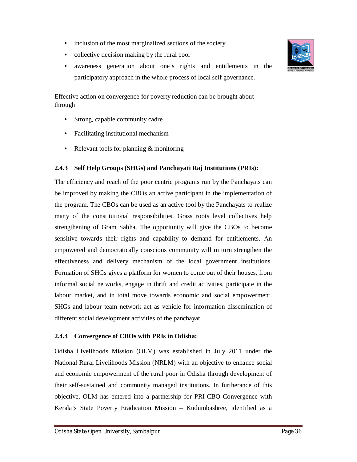- inclusion of the most marginalized sections of the society
- collective decision making by the rural poor
- awareness generation about one's rights and entitlements in the participatory approach in the whole process of local self governance.

Effective action on convergence for poverty reduction can be brought about through

- Strong, capable community cadre
- Facilitating institutional mechanism
- Relevant tools for planning & monitoring

#### **2.4.3 Self Help Groups (SHGs) and Panchayati Raj Institutions (PRIs):**

The efficiency and reach of the poor centric programs run by the Panchayats can be improved by making the CBOs an active participant in the implementation of the program. The CBOs can be used as an active tool by the Panchayats to realize many of the constitutional responsibilities. Grass roots level collectives help strengthening of Gram Sabha. The opportunity will give the CBOs to become sensitive towards their rights and capability to demand for entitlements. An empowered and democratically conscious community will in turn strengthen the effectiveness and delivery mechanism of the local government institutions. Formation of SHGs gives a platform for women to come out of their houses, from informal social networks, engage in thrift and credit activities, participate in the labour market, and in total move towards economic and social empowerment. SHGs and labour team network act as vehicle for information dissemination of different social development activities of the panchayat.

#### **2.4.4 Convergence of CBOs with PRIs in Odisha:**

Odisha Livelihoods Mission (OLM) was established in July 2011 under the National Rural Livelihoods Mission (NRLM) with an objective to enhance social and economic empowerment of the rural poor in Odisha through development of their self-sustained and community managed institutions. In furtherance of this objective, OLM has entered into a partnership for PRI-CBO Convergence with Kerala's State Poverty Eradication Mission – Kudumbashree, identified as a

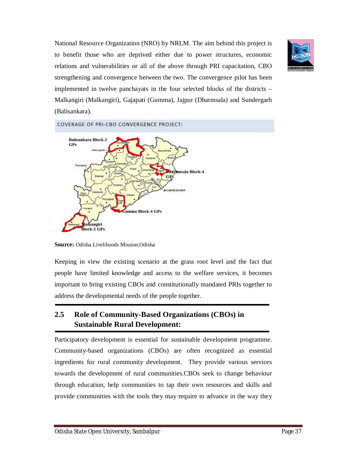National Resource Organization (NRO) by NRLM. The aim behind this project is to benefit those who are deprived either due to power structures, economic relations and vulnerabilities or all of the above through PRI capacitation, CBO strengthening and convergence between the two. The convergence pilot has been implemented in twelve panchayats in the four selected blocks of the districts – Malkangiri (Malkangiri), Gajapati (Gumma), Jajpur (Dharmsala) and Sundergarh (Balisankara).





**Source:** Odisha Livelihoods Mission,Odisha

Keeping in view the existing scenario at the grass root level and the fact that people have limited knowledge and access to the welfare services, it becomes important to bring existing CBOs and constitutionally mandated PRIs together to address the developmental needs of the people together.

## **2.5 Role of Community-Based Organizations (CBOs) in Sustainable Rural Development:**

Participatory development is essential for sustainable development programme. Community-based organizations (CBOs) are often recognized as essential ingredients for rural community development. They provide various services towards the development of rural communities.CBOs seek to change behaviour through education, help communities to tap their own resources and skills and provide communities with the tools they may require to advance in the way they

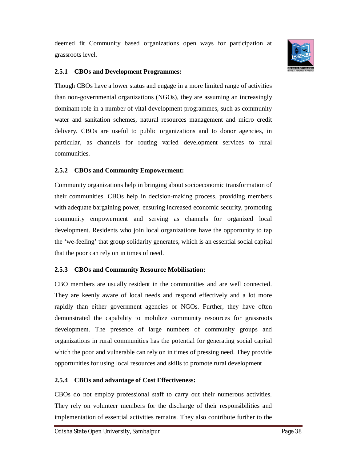deemed fit Community based organizations open ways for participation at grassroots level.



#### **2.5.1 CBOs and Development Programmes:**

Though CBOs have a lower status and engage in a more limited range of activities than non-governmental organizations (NGOs), they are assuming an increasingly dominant role in a number of vital development programmes, such as community water and sanitation schemes, natural resources management and micro credit delivery. CBOs are useful to public organizations and to donor agencies, in particular, as channels for routing varied development services to rural communities.

#### **2.5.2 CBOs and Community Empowerment:**

Community organizations help in bringing about socioeconomic transformation of their communities. CBOs help in decision-making process, providing members with adequate bargaining power, ensuring increased economic security, promoting community empowerment and serving as channels for organized local development. Residents who join local organizations have the opportunity to tap the 'we-feeling' that group solidarity generates, which is an essential social capital that the poor can rely on in times of need.

#### **2.5.3 CBOs and Community Resource Mobilisation:**

CBO members are usually resident in the communities and are well connected. They are keenly aware of local needs and respond effectively and a lot more rapidly than either government agencies or NGOs. Further, they have often demonstrated the capability to mobilize community resources for grassroots development. The presence of large numbers of community groups and organizations in rural communities has the potential for generating social capital which the poor and vulnerable can rely on in times of pressing need. They provide opportunities for using local resources and skills to promote rural development

#### **2.5.4 CBOs and advantage of Cost Effectiveness:**

CBOs do not employ professional staff to carry out their numerous activities. They rely on volunteer members for the discharge of their responsibilities and implementation of essential activities remains. They also contribute further to the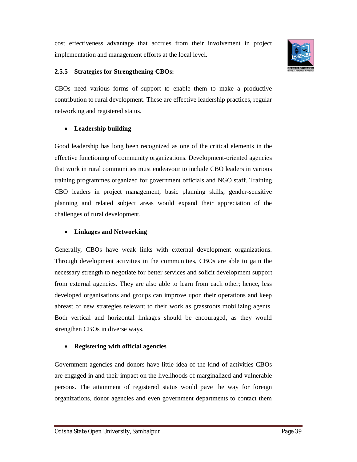cost effectiveness advantage that accrues from their involvement in project implementation and management efforts at the local level.



#### **2.5.5 Strategies for Strengthening CBOs:**

CBOs need various forms of support to enable them to make a productive contribution to rural development. These are effective leadership practices, regular networking and registered status.

## **Leadership building**

Good leadership has long been recognized as one of the critical elements in the effective functioning of community organizations. Development-oriented agencies that work in rural communities must endeavour to include CBO leaders in various training programmes organized for government officials and NGO staff. Training CBO leaders in project management, basic planning skills, gender-sensitive planning and related subject areas would expand their appreciation of the challenges of rural development.

## **Linkages and Networking**

Generally, CBOs have weak links with external development organizations. Through development activities in the communities, CBOs are able to gain the necessary strength to negotiate for better services and solicit development support from external agencies. They are also able to learn from each other; hence, less developed organisations and groups can improve upon their operations and keep abreast of new strategies relevant to their work as grassroots mobilizing agents. Both vertical and horizontal linkages should be encouraged, as they would strengthen CBOs in diverse ways.

## **Registering with official agencies**

Government agencies and donors have little idea of the kind of activities CBOs are engaged in and their impact on the livelihoods of marginalized and vulnerable persons. The attainment of registered status would pave the way for foreign organizations, donor agencies and even government departments to contact them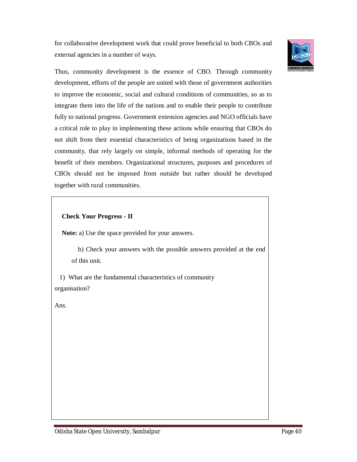for collaborative development work that could prove beneficial to both CBOs and external agencies in a number of ways.



Thus, community development is the essence of CBO. Through community development, efforts of the people are united with those of government authorities to improve the economic, social and cultural conditions of communities, so as to integrate them into the life of the nations and to enable their people to contribute fully to national progress. Government extension agencies and NGO officials have a critical role to play in implementing these actions while ensuring that CBOs do not shift from their essential characteristics of being organizations based in the community, that rely largely on simple, informal methods of operating for the benefit of their members. Organizational structures, purposes and procedures of CBOs should not be imposed from outside but rather should be developed together with rural communities.

**Check Your Progress - II**

**Note:** a) Use the space provided for your answers.

 b) Check your answers with the possible answers provided at the end of this unit.

 1) What are the fundamental characteristics of community organisation?

Ans.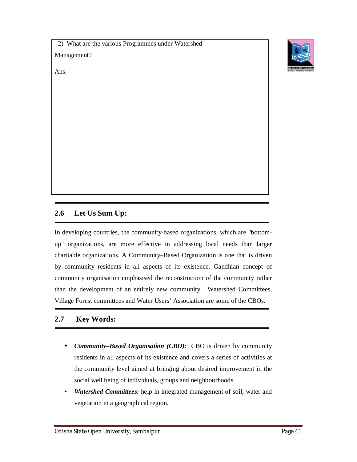2) What are the various Programmes under Watershed Management?



#### Ans.

# **2.6 Let Us Sum Up:**

In developing countries, the community-based organizations, which are "bottomup" organizations, are more effective in addressing local needs than larger charitable organizations. A Community–Based Organization is one that is driven by community residents in all aspects of its existence. Gandhian concept of community organisation emphasised the reconstruction of the community rather than the development of an entirely new community. Watershed Committees, Village Forest committees and Water Users' Association are some of the CBOs.

# **2.7 Key Words:**

- *Community–Based Organisation (CBO)*: CBO is driven by community residents in all aspects of its existence and covers a series of activities at the community level aimed at bringing about desired improvement in the social well being of individuals, groups and neighbourhoods.
- *Watershed Committees:* help in integrated management of soil, water and vegetation in a geographical region.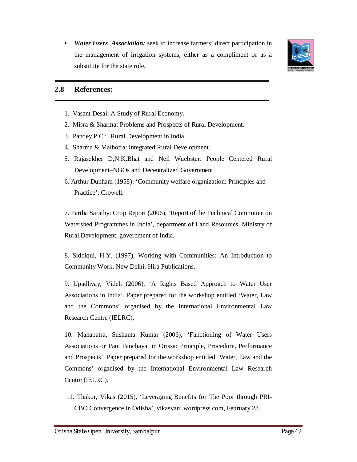• *Water Users' Association:* seek to increase farmers' direct participation in the management of irrigation systems, either as a compliment or as a substitute for the state role.



#### **2.8 References:**

- 1. Vasant Desai: A Study of Rural Economy.
- 2. Misra & Sharma: Problems and Prospects of Rural Development.
- 3. Pandey P.C.: Rural Development in India.
- 4. Sharma & Malhotra: Integrated Rural Development.
- 5. Rajasekher D,N.K.Bhat and Neil Wuebster: People Centered Rural Development–NGOs and Decentralized Government.
- 6. Arthur Dunham (1958): 'Community welfare organization: Principles and Practice', Crowell.

7. Partha Sarathy: Crop Report (2006), 'Report of the Technical Committee on Watershed Programmes in India', department of Land Resources, Ministry of Rural Development, government of India.

8. Siddiqui, H.Y. (1997), Working with Communities: An Introduction to Community Work, New Delhi: Hira Publications.

9. Upadhyay, Videh (2006), 'A Rights Based Approach to Water User Associations in India', Paper prepared for the workshop entitled 'Water, Law and the Commons' organised by the International Environmental Law Research Centre (IELRC).

10. Mahapatra, Sushanta Kumar (2006), 'Functioning of Water Users Associations or Pani Panchayat in Orissa: Principle, Procedure, Performance and Prospects', Paper prepared for the workshop entitled 'Water, Law and the Commons' organised by the International Environmental Law Research Centre (IELRC).

11. Thakur, Vikas (2015), 'Leveraging Benefits for The Poor through PRI-CBO Convergence in Odisha', vikasvani.wordpress.com, February 28.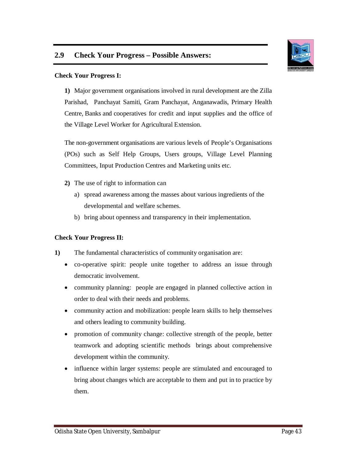

#### **Check Your Progress I:**

**1)** Major government organisations involved in rural development are the Zilla Parishad, Panchayat Samiti, Gram Panchayat, Anganawadis, Primary Health Centre, Banks and cooperatives for credit and input supplies and the office of the Village Level Worker for Agricultural Extension.

The non-government organisations are various levels of People's Organisations (POs) such as Self Help Groups, Users groups, Village Level Planning Committees, Input Production Centres and Marketing units etc.

- **2)** The use of right to information can
	- a) spread awareness among the masses about various ingredients of the developmental and welfare schemes.
	- b) bring about openness and transparency in their implementation.

## **Check Your Progress II:**

- **1)** The fundamental characteristics of community organisation are:
	- co-operative spirit: people unite together to address an issue through democratic involvement.
	- community planning: people are engaged in planned collective action in order to deal with their needs and problems.
	- community action and mobilization: people learn skills to help themselves and others leading to community building.
	- promotion of community change: collective strength of the people, better teamwork and adopting scientific methods brings about comprehensive development within the community.
	- influence within larger systems: people are stimulated and encouraged to bring about changes which are acceptable to them and put in to practice by them.